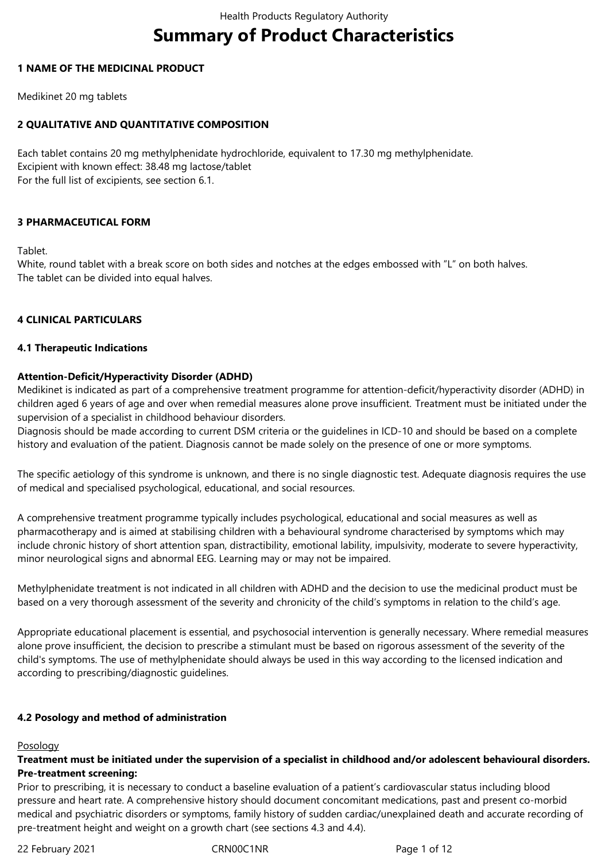# **Summary of Product Characteristics**

## **1 NAME OF THE MEDICINAL PRODUCT**

Medikinet 20 mg tablets

# **2 QUALITATIVE AND QUANTITATIVE COMPOSITION**

Each tablet contains 20 mg methylphenidate hydrochloride, equivalent to 17.30 mg methylphenidate. Excipient with known effect: 38.48 mg lactose/tablet For the full list of excipients, see section 6.1.

# **3 PHARMACEUTICAL FORM**

Tablet.

White, round tablet with a break score on both sides and notches at the edges embossed with "L" on both halves. The tablet can be divided into equal halves.

# **4 CLINICAL PARTICULARS**

#### **4.1 Therapeutic Indications**

## **Attention-Deficit/Hyperactivity Disorder (ADHD)**

Medikinet is indicated as part of a comprehensive treatment programme for attention-deficit/hyperactivity disorder (ADHD) in children aged 6 years of age and over when remedial measures alone prove insufficient. Treatment must be initiated under the supervision of a specialist in childhood behaviour disorders.

Diagnosis should be made according to current DSM criteria or the guidelines in ICD-10 and should be based on a complete history and evaluation of the patient. Diagnosis cannot be made solely on the presence of one or more symptoms.

The specific aetiology of this syndrome is unknown, and there is no single diagnostic test. Adequate diagnosis requires the use of medical and specialised psychological, educational, and social resources.

A comprehensive treatment programme typically includes psychological, educational and social measures as well as pharmacotherapy and is aimed at stabilising children with a behavioural syndrome characterised by symptoms which may include chronic history of short attention span, distractibility, emotional lability, impulsivity, moderate to severe hyperactivity, minor neurological signs and abnormal EEG. Learning may or may not be impaired.

Methylphenidate treatment is not indicated in all children with ADHD and the decision to use the medicinal product must be based on a very thorough assessment of the severity and chronicity of the child's symptoms in relation to the child's age.

Appropriate educational placement is essential, and psychosocial intervention is generally necessary. Where remedial measures alone prove insufficient, the decision to prescribe a stimulant must be based on rigorous assessment of the severity of the child's symptoms. The use of methylphenidate should always be used in this way according to the licensed indication and according to prescribing/diagnostic guidelines.

# **4.2 Posology and method of administration**

#### Posology

## **Treatment must be initiated under the supervision of a specialist in childhood and/or adolescent behavioural disorders. Pre-treatment screening:**

Prior to prescribing, it is necessary to conduct a baseline evaluation of a patient's cardiovascular status including blood pressure and heart rate. A comprehensive history should document concomitant medications, past and present co-morbid medical and psychiatric disorders or symptoms, family history of sudden cardiac/unexplained death and accurate recording of pre-treatment height and weight on a growth chart (see sections 4.3 and 4.4).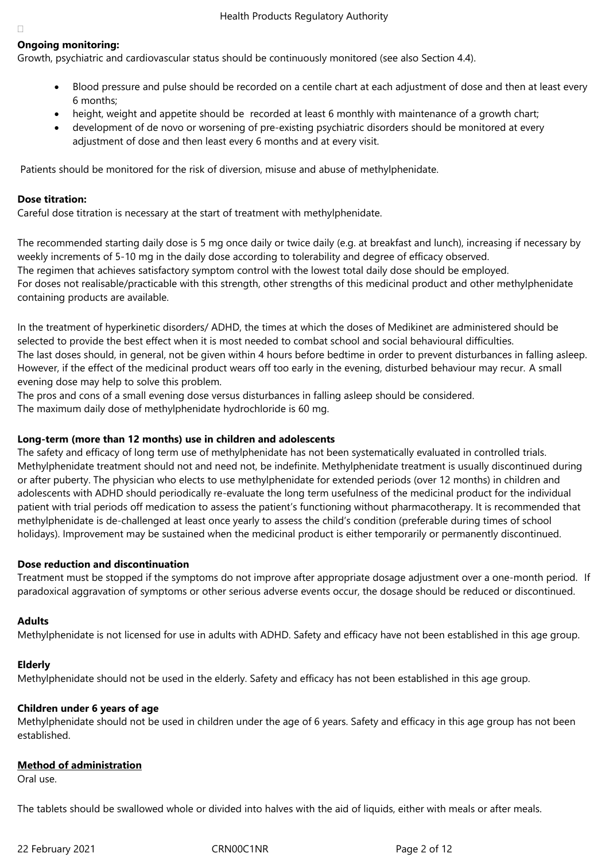# **Ongoing monitoring:**

Growth, psychiatric and cardiovascular status should be continuously monitored (see also Section 4.4).

- Blood pressure and pulse should be recorded on a centile chart at each adjustment of dose and then at least every 6 months;
- height, weight and appetite should be recorded at least 6 monthly with maintenance of a growth chart;
- development of de novo or worsening of pre-existing psychiatric disorders should be monitored at every adjustment of dose and then least every 6 months and at every visit.

Patients should be monitored for the risk of diversion, misuse and abuse of methylphenidate.

#### **Dose titration:**

Careful dose titration is necessary at the start of treatment with methylphenidate.

The recommended starting daily dose is 5 mg once daily or twice daily (e.g. at breakfast and lunch), increasing if necessary by weekly increments of 5-10 mg in the daily dose according to tolerability and degree of efficacy observed. The regimen that achieves satisfactory symptom control with the lowest total daily dose should be employed. For doses not realisable/practicable with this strength, other strengths of this medicinal product and other methylphenidate containing products are available.

In the treatment of hyperkinetic disorders/ ADHD, the times at which the doses of Medikinet are administered should be selected to provide the best effect when it is most needed to combat school and social behavioural difficulties. The last doses should, in general, not be given within 4 hours before bedtime in order to prevent disturbances in falling asleep. However, if the effect of the medicinal product wears off too early in the evening, disturbed behaviour may recur. A small evening dose may help to solve this problem.

The pros and cons of a small evening dose versus disturbances in falling asleep should be considered. The maximum daily dose of methylphenidate hydrochloride is 60 mg.

#### **Long-term (more than 12 months) use in children and adolescents**

The safety and efficacy of long term use of methylphenidate has not been systematically evaluated in controlled trials. Methylphenidate treatment should not and need not, be indefinite. Methylphenidate treatment is usually discontinued during or after puberty. The physician who elects to use methylphenidate for extended periods (over 12 months) in children and adolescents with ADHD should periodically re-evaluate the long term usefulness of the medicinal product for the individual patient with trial periods off medication to assess the patient's functioning without pharmacotherapy. It is recommended that methylphenidate is de-challenged at least once yearly to assess the child's condition (preferable during times of school holidays). Improvement may be sustained when the medicinal product is either temporarily or permanently discontinued.

#### **Dose reduction and discontinuation**

Treatment must be stopped if the symptoms do not improve after appropriate dosage adjustment over a one-month period. If paradoxical aggravation of symptoms or other serious adverse events occur, the dosage should be reduced or discontinued.

#### **Adults**

Methylphenidate is not licensed for use in adults with ADHD. Safety and efficacy have not been established in this age group.

#### **Elderly**

Methylphenidate should not be used in the elderly. Safety and efficacy has not been established in this age group.

#### **Children under 6 years of age**

Methylphenidate should not be used in children under the age of 6 years. Safety and efficacy in this age group has not been established.

#### **Method of administration**

Oral use.

The tablets should be swallowed whole or divided into halves with the aid of liquids, either with meals or after meals.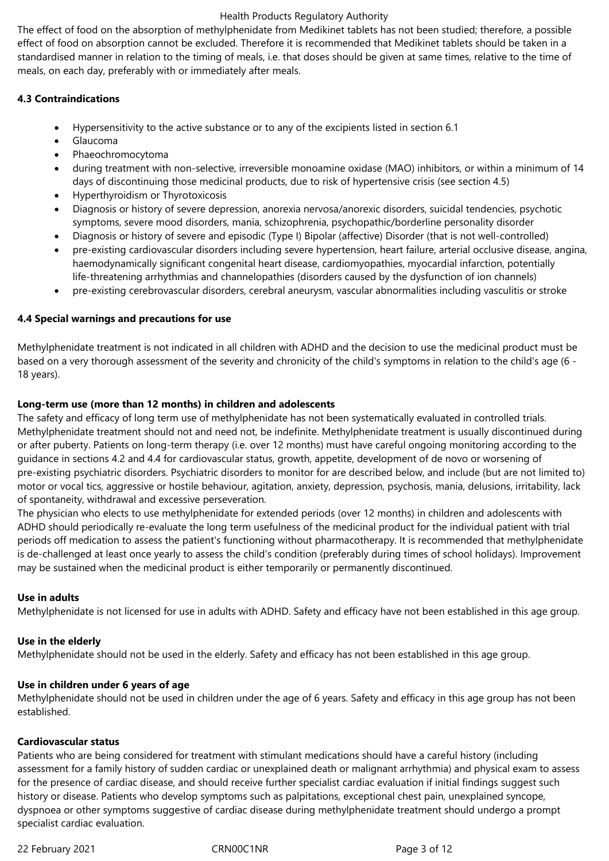The effect of food on the absorption of methylphenidate from Medikinet tablets has not been studied; therefore, a possible effect of food on absorption cannot be excluded. Therefore it is recommended that Medikinet tablets should be taken in a standardised manner in relation to the timing of meals, i.e. that doses should be given at same times, relative to the time of meals, on each day, preferably with or immediately after meals.

## **4.3 Contraindications**

- Hypersensitivity to the active substance or to any of the excipients listed in section 6.1
- Glaucoma
- Phaeochromocytoma
- during treatment with non-selective, irreversible monoamine oxidase (MAO) inhibitors, or within a minimum of 14 days of discontinuing those medicinal products, due to risk of hypertensive crisis (see section 4.5)
- Hyperthyroidism or Thyrotoxicosis
- Diagnosis or history of severe depression, anorexia nervosa/anorexic disorders, suicidal tendencies, psychotic symptoms, severe mood disorders, mania, schizophrenia, psychopathic/borderline personality disorder
- Diagnosis or history of severe and episodic (Type I) Bipolar (affective) Disorder (that is not well-controlled)
- pre-existing cardiovascular disorders including severe hypertension, heart failure, arterial occlusive disease, angina, haemodynamically significant congenital heart disease, cardiomyopathies, myocardial infarction, potentially life-threatening arrhythmias and channelopathies (disorders caused by the dysfunction of ion channels)
- pre-existing cerebrovascular disorders, cerebral aneurysm, vascular abnormalities including vasculitis or stroke

# **4.4 Special warnings and precautions for use**

Methylphenidate treatment is not indicated in all children with ADHD and the decision to use the medicinal product must be based on a very thorough assessment of the severity and chronicity of the child's symptoms in relation to the child's age (6 - 18 years).

## **Long-term use (more than 12 months) in children and adolescents**

The safety and efficacy of long term use of methylphenidate has not been systematically evaluated in controlled trials. Methylphenidate treatment should not and need not, be indefinite. Methylphenidate treatment is usually discontinued during or after puberty. Patients on long-term therapy (i.e. over 12 months) must have careful ongoing monitoring according to the guidance in sections 4.2 and 4.4 for cardiovascular status, growth, appetite, development of de novo or worsening of pre-existing psychiatric disorders. Psychiatric disorders to monitor for are described below, and include (but are not limited to) motor or vocal tics, aggressive or hostile behaviour, agitation, anxiety, depression, psychosis, mania, delusions, irritability, lack of spontaneity, withdrawal and excessive perseveration.

The physician who elects to use methylphenidate for extended periods (over 12 months) in children and adolescents with ADHD should periodically re-evaluate the long term usefulness of the medicinal product for the individual patient with trial periods off medication to assess the patient's functioning without pharmacotherapy. It is recommended that methylphenidate is de-challenged at least once yearly to assess the child's condition (preferably during times of school holidays). Improvement may be sustained when the medicinal product is either temporarily or permanently discontinued.

#### **Use in adults**

Methylphenidate is not licensed for use in adults with ADHD. Safety and efficacy have not been established in this age group.

#### **Use in the elderly**

Methylphenidate should not be used in the elderly. Safety and efficacy has not been established in this age group.

#### **Use in children under 6 years of age**

Methylphenidate should not be used in children under the age of 6 years. Safety and efficacy in this age group has not been established.

## **Cardiovascular status**

Patients who are being considered for treatment with stimulant medications should have a careful history (including assessment for a family history of sudden cardiac or unexplained death or malignant arrhythmia) and physical exam to assess for the presence of cardiac disease, and should receive further specialist cardiac evaluation if initial findings suggest such history or disease. Patients who develop symptoms such as palpitations, exceptional chest pain, unexplained syncope, dyspnoea or other symptoms suggestive of cardiac disease during methylphenidate treatment should undergo a prompt specialist cardiac evaluation.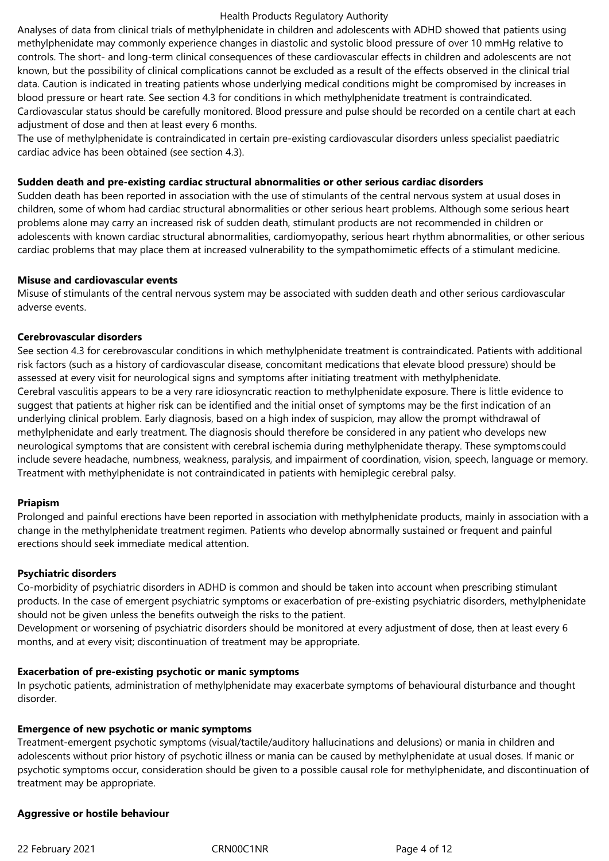Analyses of data from clinical trials of methylphenidate in children and adolescents with ADHD showed that patients using methylphenidate may commonly experience changes in diastolic and systolic blood pressure of over 10 mmHg relative to controls. The short- and long-term clinical consequences of these cardiovascular effects in children and adolescents are not known, but the possibility of clinical complications cannot be excluded as a result of the effects observed in the clinical trial data. Caution is indicated in treating patients whose underlying medical conditions might be compromised by increases in blood pressure or heart rate. See section 4.3 for conditions in which methylphenidate treatment is contraindicated. Cardiovascular status should be carefully monitored. Blood pressure and pulse should be recorded on a centile chart at each adjustment of dose and then at least every 6 months.

The use of methylphenidate is contraindicated in certain pre-existing cardiovascular disorders unless specialist paediatric cardiac advice has been obtained (see section 4.3).

#### **Sudden death and pre-existing cardiac structural abnormalities or other serious cardiac disorders**

Sudden death has been reported in association with the use of stimulants of the central nervous system at usual doses in children, some of whom had cardiac structural abnormalities or other serious heart problems. Although some serious heart problems alone may carry an increased risk of sudden death, stimulant products are not recommended in children or adolescents with known cardiac structural abnormalities, cardiomyopathy, serious heart rhythm abnormalities, or other serious cardiac problems that may place them at increased vulnerability to the sympathomimetic effects of a stimulant medicine.

#### **Misuse and cardiovascular events**

Misuse of stimulants of the central nervous system may be associated with sudden death and other serious cardiovascular adverse events.

#### **Cerebrovascular disorders**

See section 4.3 for cerebrovascular conditions in which methylphenidate treatment is contraindicated. Patients with additional risk factors (such as a history of cardiovascular disease, concomitant medications that elevate blood pressure) should be assessed at every visit for neurological signs and symptoms after initiating treatment with methylphenidate. Cerebral vasculitis appears to be a very rare idiosyncratic reaction to methylphenidate exposure. There is little evidence to suggest that patients at higher risk can be identified and the initial onset of symptoms may be the first indication of an underlying clinical problem. Early diagnosis, based on a high index of suspicion, may allow the prompt withdrawal of methylphenidate and early treatment. The diagnosis should therefore be considered in any patient who develops new neurological symptoms that are consistent with cerebral ischemia during methylphenidate therapy. These symptomscould include severe headache, numbness, weakness, paralysis, and impairment of coordination, vision, speech, language or memory. Treatment with methylphenidate is not contraindicated in patients with hemiplegic cerebral palsy.

#### **Priapism**

Prolonged and painful erections have been reported in association with methylphenidate products, mainly in association with a change in the methylphenidate treatment regimen. Patients who develop abnormally sustained or frequent and painful erections should seek immediate medical attention.

#### **Psychiatric disorders**

Co-morbidity of psychiatric disorders in ADHD is common and should be taken into account when prescribing stimulant products. In the case of emergent psychiatric symptoms or exacerbation of pre-existing psychiatric disorders, methylphenidate should not be given unless the benefits outweigh the risks to the patient.

Development or worsening of psychiatric disorders should be monitored at every adjustment of dose, then at least every 6 months, and at every visit; discontinuation of treatment may be appropriate.

#### **Exacerbation of pre-existing psychotic or manic symptoms**

In psychotic patients, administration of methylphenidate may exacerbate symptoms of behavioural disturbance and thought disorder.

#### **Emergence of new psychotic or manic symptoms**

Treatment-emergent psychotic symptoms (visual/tactile/auditory hallucinations and delusions) or mania in children and adolescents without prior history of psychotic illness or mania can be caused by methylphenidate at usual doses. If manic or psychotic symptoms occur, consideration should be given to a possible causal role for methylphenidate, and discontinuation of treatment may be appropriate.

#### **Aggressive or hostile behaviour**

22 February 2021 **CRNOOC1NR** Page 4 of 12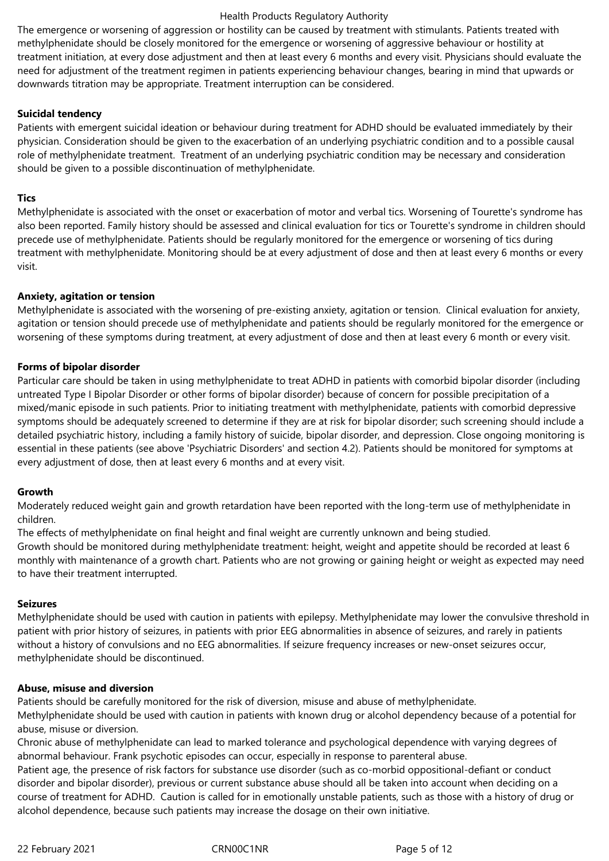The emergence or worsening of aggression or hostility can be caused by treatment with stimulants. Patients treated with methylphenidate should be closely monitored for the emergence or worsening of aggressive behaviour or hostility at treatment initiation, at every dose adjustment and then at least every 6 months and every visit. Physicians should evaluate the need for adjustment of the treatment regimen in patients experiencing behaviour changes, bearing in mind that upwards or downwards titration may be appropriate. Treatment interruption can be considered.

## **Suicidal tendency**

Patients with emergent suicidal ideation or behaviour during treatment for ADHD should be evaluated immediately by their physician. Consideration should be given to the exacerbation of an underlying psychiatric condition and to a possible causal role of methylphenidate treatment. Treatment of an underlying psychiatric condition may be necessary and consideration should be given to a possible discontinuation of methylphenidate.

## **Tics**

Methylphenidate is associated with the onset or exacerbation of motor and verbal tics. Worsening of Tourette's syndrome has also been reported. Family history should be assessed and clinical evaluation for tics or Tourette's syndrome in children should precede use of methylphenidate. Patients should be regularly monitored for the emergence or worsening of tics during treatment with methylphenidate. Monitoring should be at every adjustment of dose and then at least every 6 months or every visit.

#### **Anxiety, agitation or tension**

Methylphenidate is associated with the worsening of pre-existing anxiety, agitation or tension. Clinical evaluation for anxiety, agitation or tension should precede use of methylphenidate and patients should be regularly monitored for the emergence or worsening of these symptoms during treatment, at every adjustment of dose and then at least every 6 month or every visit.

#### **Forms of bipolar disorder**

Particular care should be taken in using methylphenidate to treat ADHD in patients with comorbid bipolar disorder (including untreated Type I Bipolar Disorder or other forms of bipolar disorder) because of concern for possible precipitation of a mixed/manic episode in such patients. Prior to initiating treatment with methylphenidate, patients with comorbid depressive symptoms should be adequately screened to determine if they are at risk for bipolar disorder; such screening should include a detailed psychiatric history, including a family history of suicide, bipolar disorder, and depression. Close ongoing monitoring is essential in these patients (see above 'Psychiatric Disorders' and section 4.2). Patients should be monitored for symptoms at every adjustment of dose, then at least every 6 months and at every visit.

#### **Growth**

Moderately reduced weight gain and growth retardation have been reported with the long-term use of methylphenidate in children.

The effects of methylphenidate on final height and final weight are currently unknown and being studied. Growth should be monitored during methylphenidate treatment: height, weight and appetite should be recorded at least 6 monthly with maintenance of a growth chart. Patients who are not growing or gaining height or weight as expected may need to have their treatment interrupted.

#### **Seizures**

Methylphenidate should be used with caution in patients with epilepsy. Methylphenidate may lower the convulsive threshold in patient with prior history of seizures, in patients with prior EEG abnormalities in absence of seizures, and rarely in patients without a history of convulsions and no EEG abnormalities. If seizure frequency increases or new-onset seizures occur, methylphenidate should be discontinued.

#### **Abuse, misuse and diversion**

Patients should be carefully monitored for the risk of diversion, misuse and abuse of methylphenidate.

Methylphenidate should be used with caution in patients with known drug or alcohol dependency because of a potential for abuse, misuse or diversion.

Chronic abuse of methylphenidate can lead to marked tolerance and psychological dependence with varying degrees of abnormal behaviour. Frank psychotic episodes can occur, especially in response to parenteral abuse.

Patient age, the presence of risk factors for substance use disorder (such as co-morbid oppositional-defiant or conduct disorder and bipolar disorder), previous or current substance abuse should all be taken into account when deciding on a course of treatment for ADHD. Caution is called for in emotionally unstable patients, such as those with a history of drug or alcohol dependence, because such patients may increase the dosage on their own initiative.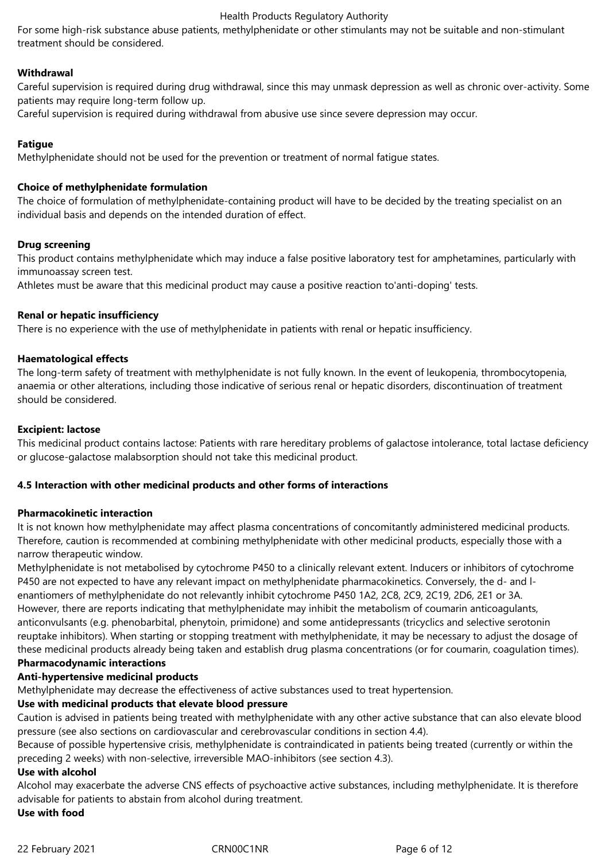For some high-risk substance abuse patients, methylphenidate or other stimulants may not be suitable and non-stimulant treatment should be considered.

#### **Withdrawal**

Careful supervision is required during drug withdrawal, since this may unmask depression as well as chronic over-activity. Some patients may require long-term follow up.

Careful supervision is required during withdrawal from abusive use since severe depression may occur.

## **Fatigue**

Methylphenidate should not be used for the prevention or treatment of normal fatigue states.

#### **Choice of methylphenidate formulation**

The choice of formulation of methylphenidate-containing product will have to be decided by the treating specialist on an individual basis and depends on the intended duration of effect.

#### **Drug screening**

This product contains methylphenidate which may induce a false positive laboratory test for amphetamines, particularly with immunoassay screen test.

Athletes must be aware that this medicinal product may cause a positive reaction to'anti-doping' tests.

#### **Renal or hepatic insufficiency**

There is no experience with the use of methylphenidate in patients with renal or hepatic insufficiency.

#### **Haematological effects**

The long-term safety of treatment with methylphenidate is not fully known. In the event of leukopenia, thrombocytopenia, anaemia or other alterations, including those indicative of serious renal or hepatic disorders, discontinuation of treatment should be considered.

#### **Excipient: lactose**

This medicinal product contains lactose: Patients with rare hereditary problems of galactose intolerance, total lactase deficiency or glucose-galactose malabsorption should not take this medicinal product.

#### **4.5 Interaction with other medicinal products and other forms of interactions**

#### **Pharmacokinetic interaction**

It is not known how methylphenidate may affect plasma concentrations of concomitantly administered medicinal products. Therefore, caution is recommended at combining methylphenidate with other medicinal products, especially those with a narrow therapeutic window.

Methylphenidate is not metabolised by cytochrome P450 to a clinically relevant extent. Inducers or inhibitors of cytochrome P450 are not expected to have any relevant impact on methylphenidate pharmacokinetics. Conversely, the d- and lenantiomers of methylphenidate do not relevantly inhibit cytochrome P450 1A2, 2C8, 2C9, 2C19, 2D6, 2E1 or 3A. However, there are reports indicating that methylphenidate may inhibit the metabolism of coumarin anticoagulants, anticonvulsants (e.g. phenobarbital, phenytoin, primidone) and some antidepressants (tricyclics and selective serotonin reuptake inhibitors). When starting or stopping treatment with methylphenidate, it may be necessary to adjust the dosage of these medicinal products already being taken and establish drug plasma concentrations (or for coumarin, coagulation times).

# **Pharmacodynamic interactions**

# **Anti-hypertensive medicinal products**

Methylphenidate may decrease the effectiveness of active substances used to treat hypertension.

#### **Use with medicinal products that elevate blood pressure**

Caution is advised in patients being treated with methylphenidate with any other active substance that can also elevate blood pressure (see also sections on cardiovascular and cerebrovascular conditions in section 4.4).

Because of possible hypertensive crisis, methylphenidate is contraindicated in patients being treated (currently or within the preceding 2 weeks) with non-selective, irreversible MAO-inhibitors (see section 4.3).

#### **Use with alcohol**

Alcohol may exacerbate the adverse CNS effects of psychoactive active substances, including methylphenidate. It is therefore advisable for patients to abstain from alcohol during treatment.

**Use with food**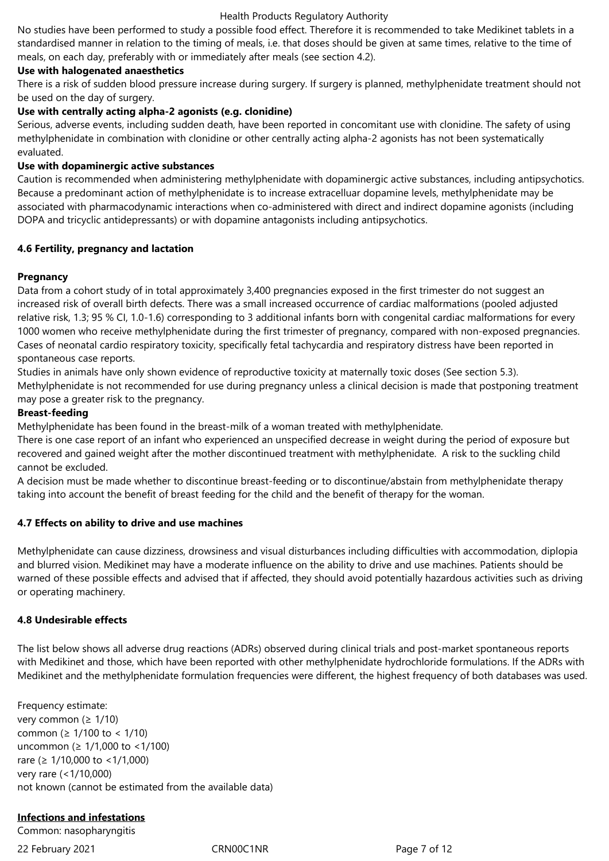No studies have been performed to study a possible food effect. Therefore it is recommended to take Medikinet tablets in a standardised manner in relation to the timing of meals, i.e. that doses should be given at same times, relative to the time of meals, on each day, preferably with or immediately after meals (see section 4.2).

## **Use with halogenated anaesthetics**

There is a risk of sudden blood pressure increase during surgery. If surgery is planned, methylphenidate treatment should not be used on the day of surgery.

## **Use with centrally acting alpha-2 agonists (e.g. clonidine)**

Serious, adverse events, including sudden death, have been reported in concomitant use with clonidine. The safety of using methylphenidate in combination with clonidine or other centrally acting alpha-2 agonists has not been systematically evaluated.

## **Use with dopaminergic active substances**

Caution is recommended when administering methylphenidate with dopaminergic active substances, including antipsychotics. Because a predominant action of methylphenidate is to increase extracelluar dopamine levels, methylphenidate may be associated with pharmacodynamic interactions when co-administered with direct and indirect dopamine agonists (including DOPA and tricyclic antidepressants) or with dopamine antagonists including antipsychotics.

## **4.6 Fertility, pregnancy and lactation**

## **Pregnancy**

Data from a cohort study of in total approximately 3,400 pregnancies exposed in the first trimester do not suggest an increased risk of overall birth defects. There was a small increased occurrence of cardiac malformations (pooled adjusted relative risk, 1.3; 95 % CI, 1.0-1.6) corresponding to 3 additional infants born with congenital cardiac malformations for every 1000 women who receive methylphenidate during the first trimester of pregnancy, compared with non-exposed pregnancies. Cases of neonatal cardio respiratory toxicity, specifically fetal tachycardia and respiratory distress have been reported in spontaneous case reports.

Studies in animals have only shown evidence of reproductive toxicity at maternally toxic doses (See section 5.3). Methylphenidate is not recommended for use during pregnancy unless a clinical decision is made that postponing treatment may pose a greater risk to the pregnancy.

## **Breast-feeding**

Methylphenidate has been found in the breast-milk of a woman treated with methylphenidate.

There is one case report of an infant who experienced an unspecified decrease in weight during the period of exposure but recovered and gained weight after the mother discontinued treatment with methylphenidate. A risk to the suckling child cannot be excluded.

A decision must be made whether to discontinue breast-feeding or to discontinue/abstain from methylphenidate therapy taking into account the benefit of breast feeding for the child and the benefit of therapy for the woman.

# **4.7 Effects on ability to drive and use machines**

Methylphenidate can cause dizziness, drowsiness and visual disturbances including difficulties with accommodation, diplopia and blurred vision. Medikinet may have a moderate influence on the ability to drive and use machines. Patients should be warned of these possible effects and advised that if affected, they should avoid potentially hazardous activities such as driving or operating machinery.

## **4.8 Undesirable effects**

The list below shows all adverse drug reactions (ADRs) observed during clinical trials and post-market spontaneous reports with Medikinet and those, which have been reported with other methylphenidate hydrochloride formulations. If the ADRs with Medikinet and the methylphenidate formulation frequencies were different, the highest frequency of both databases was used.

Frequency estimate: very common ( $\geq 1/10$ ) common (≥ 1/100 to < 1/10) uncommon (≥ 1/1,000 to <1/100) rare (≥ 1/10,000 to <1/1,000) very rare (<1/10,000) not known (cannot be estimated from the available data)

# **Infections and infestations**

Common: nasopharyngitis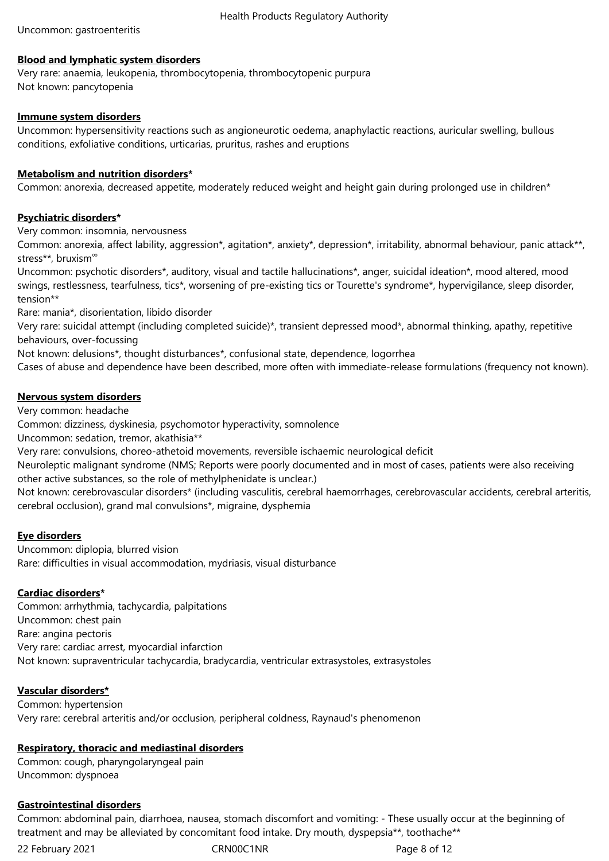## **Blood and lymphatic system disorders**

Very rare: anaemia, leukopenia, thrombocytopenia, thrombocytopenic purpura Not known: pancytopenia

## **Immune system disorders**

Uncommon: hypersensitivity reactions such as angioneurotic oedema, anaphylactic reactions, auricular swelling, bullous conditions, exfoliative conditions, urticarias, pruritus, rashes and eruptions

## **Metabolism and nutrition disorders\***

Common: anorexia, decreased appetite, moderately reduced weight and height gain during prolonged use in children\*

## **Psychiatric disorders\***

Very common: insomnia, nervousness

Common: anorexia, affect lability, aggression\*, agitation\*, anxiety\*, depression\*, irritability, abnormal behaviour, panic attack\*\*, stress<sup>\*\*</sup>, bruxism<sup>∞</sup>

Uncommon: psychotic disorders\*, auditory, visual and tactile hallucinations\*, anger, suicidal ideation\*, mood altered, mood swings, restlessness, tearfulness, tics\*, worsening of pre-existing tics or Tourette's syndrome\*, hypervigilance, sleep disorder, tension\*\*

Rare: mania\*, disorientation, libido disorder

Very rare: suicidal attempt (including completed suicide)\*, transient depressed mood\*, abnormal thinking, apathy, repetitive behaviours, over-focussing

Not known: delusions\*, thought disturbances\*, confusional state, dependence, logorrhea

Cases of abuse and dependence have been described, more often with immediate-release formulations (frequency not known).

# **Nervous system disorders**

Very common: headache

Common: dizziness, dyskinesia, psychomotor hyperactivity, somnolence

Uncommon: sedation, tremor, akathisia\*\*

Very rare: convulsions, choreo-athetoid movements, reversible ischaemic neurological deficit

Neuroleptic malignant syndrome (NMS; Reports were poorly documented and in most of cases, patients were also receiving other active substances, so the role of methylphenidate is unclear.)

Not known: cerebrovascular disorders\* (including vasculitis, cerebral haemorrhages, cerebrovascular accidents, cerebral arteritis, cerebral occlusion), grand mal convulsions\*, migraine, dysphemia

# **Eye disorders**

Uncommon: diplopia, blurred vision Rare: difficulties in visual accommodation, mydriasis, visual disturbance

# **Cardiac disorders\***

Common: arrhythmia, tachycardia, palpitations Uncommon: chest pain Rare: angina pectoris Very rare: cardiac arrest, myocardial infarction Not known: supraventricular tachycardia, bradycardia, ventricular extrasystoles, extrasystoles

# **Vascular disorders\***

Common: hypertension Very rare: cerebral arteritis and/or occlusion, peripheral coldness, Raynaud's phenomenon

# **Respiratory, thoracic and mediastinal disorders**

Common: cough, pharyngolaryngeal pain Uncommon: dyspnoea

# **Gastrointestinal disorders**

Common: abdominal pain, diarrhoea, nausea, stomach discomfort and vomiting: - These usually occur at the beginning of treatment and may be alleviated by concomitant food intake. Dry mouth, dyspepsia\*\*, toothache\*\*

22 February 2021 CRN00C1NR Page 8 of 12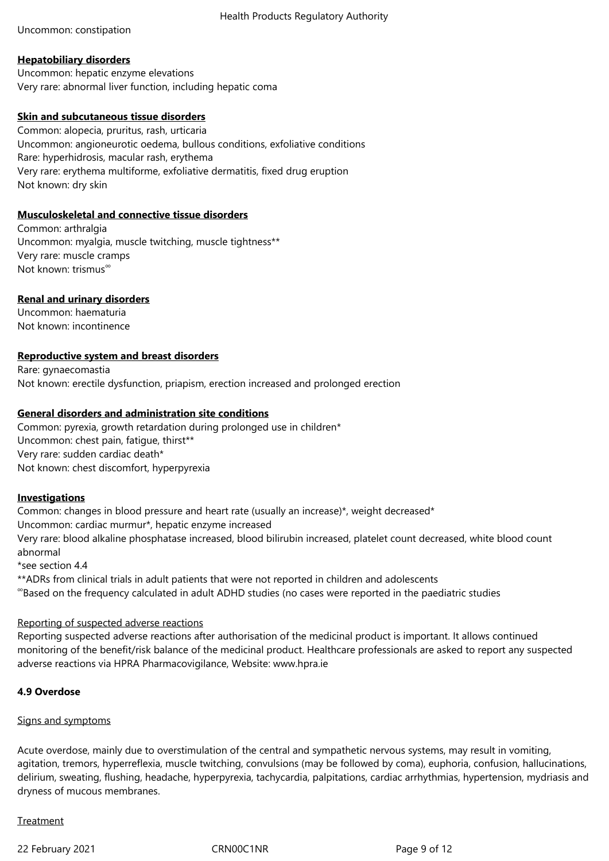Uncommon: constipation

## **Hepatobiliary disorders**

Uncommon: hepatic enzyme elevations Very rare: abnormal liver function, including hepatic coma

## **Skin and subcutaneous tissue disorders**

Common: alopecia, pruritus, rash, urticaria Uncommon: angioneurotic oedema, bullous conditions, exfoliative conditions Rare: hyperhidrosis, macular rash, erythema Very rare: erythema multiforme, exfoliative dermatitis, fixed drug eruption Not known: dry skin

## **Musculoskeletal and connective tissue disorders**

Common: arthralgia Uncommon: myalgia, muscle twitching, muscle tightness\*\* Very rare: muscle cramps Not known: trismus<sup>∞</sup>

# **Renal and urinary disorders**

Uncommon: haematuria Not known: incontinence

# **Reproductive system and breast disorders**

Rare: gynaecomastia Not known: erectile dysfunction, priapism, erection increased and prolonged erection

## **General disorders and administration site conditions**

Common: pyrexia, growth retardation during prolonged use in children\* Uncommon: chest pain, fatigue, thirst\*\* Very rare: sudden cardiac death\* Not known: chest discomfort, hyperpyrexia

#### **Investigations**

Common: changes in blood pressure and heart rate (usually an increase)\*, weight decreased\* Uncommon: cardiac murmur\*, hepatic enzyme increased Very rare: blood alkaline phosphatase increased, blood bilirubin increased, platelet count decreased, white blood count abnormal \*see section 4.4 \*\*ADRs from clinical trials in adult patients that were not reported in children and adolescents

∞ Based on the frequency calculated in adult ADHD studies (no cases were reported in the paediatric studies

# Reporting of suspected adverse reactions

Reporting suspected adverse reactions after authorisation of the medicinal product is important. It allows continued monitoring of the benefit/risk balance of the medicinal product. Healthcare professionals are asked to report any suspected adverse reactions via HPRA Pharmacovigilance, Website: www.hpra.ie

# **4.9 Overdose**

## Signs and symptoms

Acute overdose, mainly due to overstimulation of the central and sympathetic nervous systems, may result in vomiting, agitation, tremors, hyperreflexia, muscle twitching, convulsions (may be followed by coma), euphoria, confusion, hallucinations, delirium, sweating, flushing, headache, hyperpyrexia, tachycardia, palpitations, cardiac arrhythmias, hypertension, mydriasis and dryness of mucous membranes.

#### Treatment

22 February 2021 **CRNOOC1NR** Page 9 of 12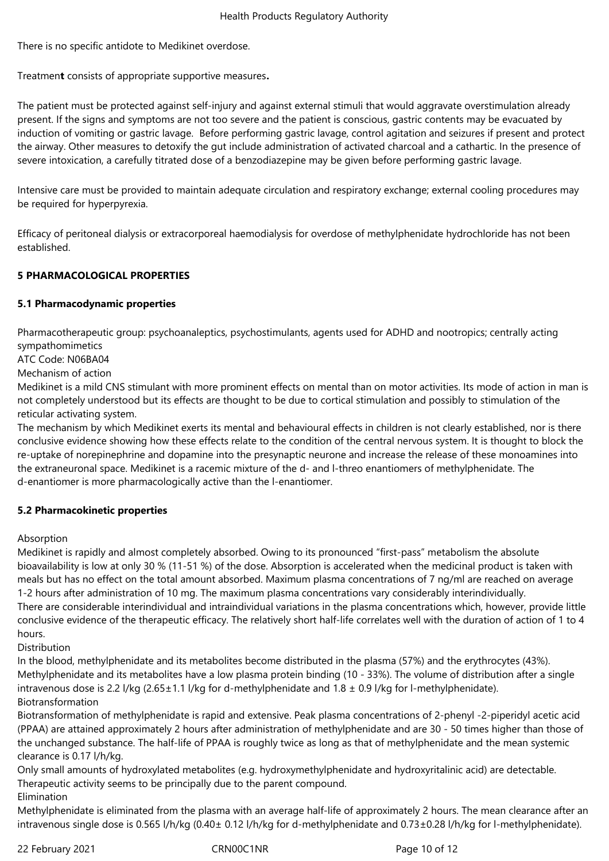There is no specific antidote to Medikinet overdose.

Treatmen**t** consists of appropriate supportive measures**.**

The patient must be protected against self-injury and against external stimuli that would aggravate overstimulation already present. If the signs and symptoms are not too severe and the patient is conscious, gastric contents may be evacuated by induction of vomiting or gastric lavage. Before performing gastric lavage, control agitation and seizures if present and protect the airway. Other measures to detoxify the gut include administration of activated charcoal and a cathartic. In the presence of severe intoxication, a carefully titrated dose of a benzodiazepine may be given before performing gastric lavage.

Intensive care must be provided to maintain adequate circulation and respiratory exchange; external cooling procedures may be required for hyperpyrexia.

Efficacy of peritoneal dialysis or extracorporeal haemodialysis for overdose of methylphenidate hydrochloride has not been established.

# **5 PHARMACOLOGICAL PROPERTIES**

# **5.1 Pharmacodynamic properties**

Pharmacotherapeutic group: psychoanaleptics, psychostimulants, agents used for ADHD and nootropics; centrally acting sympathomimetics

ATC Code: N06BA04

Mechanism of action

Medikinet is a mild CNS stimulant with more prominent effects on mental than on motor activities. Its mode of action in man is not completely understood but its effects are thought to be due to cortical stimulation and possibly to stimulation of the reticular activating system.

The mechanism by which Medikinet exerts its mental and behavioural effects in children is not clearly established, nor is there conclusive evidence showing how these effects relate to the condition of the central nervous system. It is thought to block the re-uptake of norepinephrine and dopamine into the presynaptic neurone and increase the release of these monoamines into the extraneuronal space. Medikinet is a racemic mixture of the d- and l-threo enantiomers of methylphenidate. The d-enantiomer is more pharmacologically active than the l-enantiomer.

# **5.2 Pharmacokinetic properties**

Absorption

Medikinet is rapidly and almost completely absorbed. Owing to its pronounced "first-pass" metabolism the absolute bioavailability is low at only 30 % (11-51 %) of the dose. Absorption is accelerated when the medicinal product is taken with meals but has no effect on the total amount absorbed. Maximum plasma concentrations of 7 ng/ml are reached on average 1-2 hours after administration of 10 mg. The maximum plasma concentrations vary considerably interindividually. There are considerable interindividual and intraindividual variations in the plasma concentrations which, however, provide little conclusive evidence of the therapeutic efficacy. The relatively short half-life correlates well with the duration of action of 1 to 4 hours.

Distribution

In the blood, methylphenidate and its metabolites become distributed in the plasma (57%) and the erythrocytes (43%). Methylphenidate and its metabolites have a low plasma protein binding (10 - 33%). The volume of distribution after a single intravenous dose is 2.2 l/kg (2.65±1.1 l/kg for d-methylphenidate and 1.8 ± 0.9 l/kg for l-methylphenidate). Biotransformation

Biotransformation of methylphenidate is rapid and extensive. Peak plasma concentrations of 2-phenyl -2-piperidyl acetic acid (PPAA) are attained approximately 2 hours after administration of methylphenidate and are 30 - 50 times higher than those of the unchanged substance. The half-life of PPAA is roughly twice as long as that of methylphenidate and the mean systemic clearance is 0.17 l/h/kg.

Only small amounts of hydroxylated metabolites (e.g. hydroxymethylphenidate and hydroxyritalinic acid) are detectable. Therapeutic activity seems to be principally due to the parent compound.

Elimination

Methylphenidate is eliminated from the plasma with an average half-life of approximately 2 hours. The mean clearance after an intravenous single dose is 0.565 l/h/kg (0.40± 0.12 l/h/kg for d-methylphenidate and 0.73±0.28 l/h/kg for l-methylphenidate).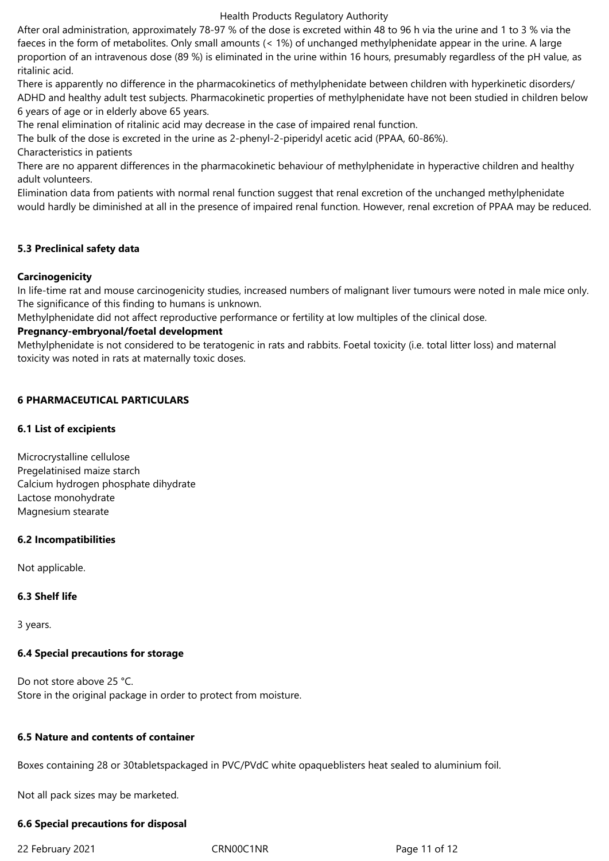After oral administration, approximately 78-97 % of the dose is excreted within 48 to 96 h via the urine and 1 to 3 % via the faeces in the form of metabolites. Only small amounts (< 1%) of unchanged methylphenidate appear in the urine. A large proportion of an intravenous dose (89 %) is eliminated in the urine within 16 hours, presumably regardless of the pH value, as ritalinic acid.

There is apparently no difference in the pharmacokinetics of methylphenidate between children with hyperkinetic disorders/ ADHD and healthy adult test subjects. Pharmacokinetic properties of methylphenidate have not been studied in children below 6 years of age or in elderly above 65 years.

The renal elimination of ritalinic acid may decrease in the case of impaired renal function.

The bulk of the dose is excreted in the urine as 2-phenyl-2-piperidyl acetic acid (PPAA, 60-86%).

Characteristics in patients

There are no apparent differences in the pharmacokinetic behaviour of methylphenidate in hyperactive children and healthy adult volunteers.

Elimination data from patients with normal renal function suggest that renal excretion of the unchanged methylphenidate would hardly be diminished at all in the presence of impaired renal function. However, renal excretion of PPAA may be reduced.

## **5.3 Preclinical safety data**

## **Carcinogenicity**

In life-time rat and mouse carcinogenicity studies, increased numbers of malignant liver tumours were noted in male mice only. The significance of this finding to humans is unknown.

Methylphenidate did not affect reproductive performance or fertility at low multiples of the clinical dose.

## **Pregnancy-embryonal/foetal development**

Methylphenidate is not considered to be teratogenic in rats and rabbits. Foetal toxicity (i.e. total litter loss) and maternal toxicity was noted in rats at maternally toxic doses.

# **6 PHARMACEUTICAL PARTICULARS**

## **6.1 List of excipients**

Microcrystalline cellulose Pregelatinised maize starch Calcium hydrogen phosphate dihydrate Lactose monohydrate Magnesium stearate

#### **6.2 Incompatibilities**

Not applicable.

# **6.3 Shelf life**

3 years.

# **6.4 Special precautions for storage**

Do not store above 25 °C. Store in the original package in order to protect from moisture.

#### **6.5 Nature and contents of container**

Boxes containing 28 or 30tabletspackaged in PVC/PVdC white opaqueblisters heat sealed to aluminium foil.

Not all pack sizes may be marketed.

#### **6.6 Special precautions for disposal**

22 February 2021 CRN00C1NR Page 11 of 12